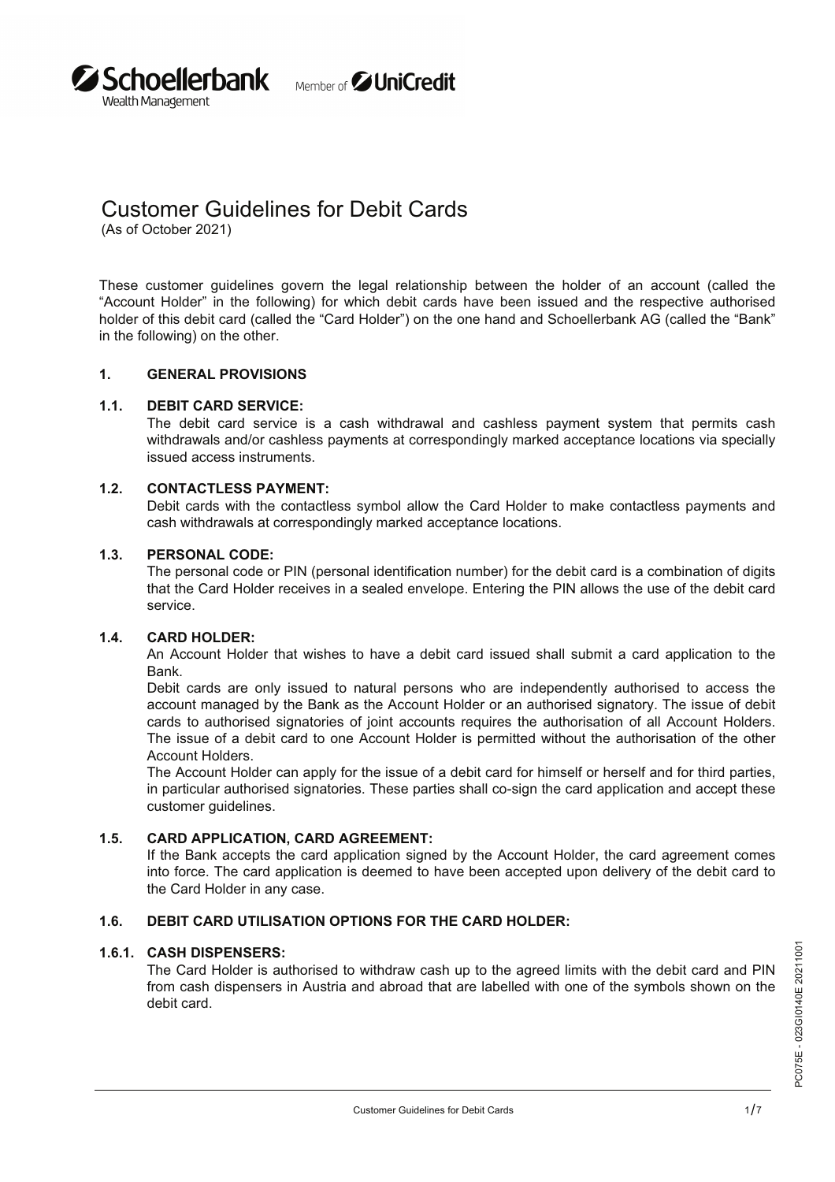

# Customer Guidelines for Debit Cards

(As of October 2021)

**Z Schoellerbank** 

Wealth Management

These customer guidelines govern the legal relationship between the holder of an account (called the "Account Holder" in the following) for which debit cards have been issued and the respective authorised holder of this debit card (called the "Card Holder") on the one hand and Schoellerbank AG (called the "Bank" in the following) on the other.

# **1. GENERAL PROVISIONS**

### **DEBIT CARD SERVICE: 1.1.**

The debit card service is a cash withdrawal and cashless payment system that permits cash withdrawals and/or cashless payments at correspondingly marked acceptance locations via specially issued access instruments.

### **CONTACTLESS PAYMENT: 1.2.**

Debit cards with the contactless symbol allow the Card Holder to make contactless payments and cash withdrawals at correspondingly marked acceptance locations.

#### **PERSONAL CODE: 1.3.**

The personal code or PIN (personal identification number) for the debit card is a combination of digits that the Card Holder receives in a sealed envelope. Entering the PIN allows the use of the debit card service.

### **CARD HOLDER: 1.4.**

An Account Holder that wishes to have a debit card issued shall submit a card application to the Bank.

Debit cards are only issued to natural persons who are independently authorised to access the account managed by the Bank as the Account Holder or an authorised signatory. The issue of debit cards to authorised signatories of joint accounts requires the authorisation of all Account Holders. The issue of a debit card to one Account Holder is permitted without the authorisation of the other Account Holders.

The Account Holder can apply for the issue of a debit card for himself or herself and for third parties, in particular authorised signatories. These parties shall co-sign the card application and accept these customer guidelines.

### **CARD APPLICATION, CARD AGREEMENT: 1.5.**

If the Bank accepts the card application signed by the Account Holder, the card agreement comes into force. The card application is deemed to have been accepted upon delivery of the debit card to the Card Holder in any case.

# **1.6. DEBIT CARD UTILISATION OPTIONS FOR THE CARD HOLDER:**

### **CASH DISPENSERS: 1.6.1.**

The Card Holder is authorised to withdraw cash up to the agreed limits with the debit card and PIN from cash dispensers in Austria and abroad that are labelled with one of the symbols shown on the debit card.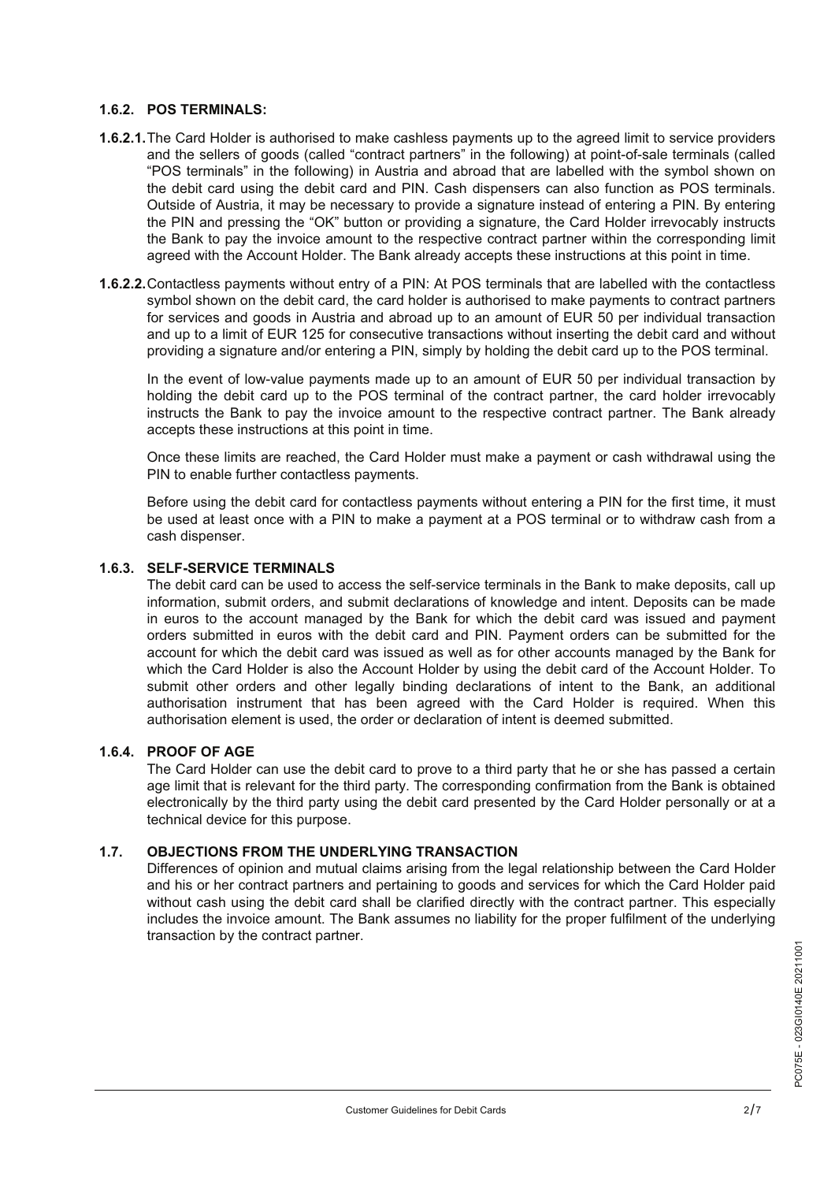# **1.6.2. POS TERMINALS:**

- 1.6.2.1. The Card Holder is authorised to make cashless payments up to the agreed limit to service providers and the sellers of goods (called "contract partners" in the following) at point-of-sale terminals (called "POS terminals" in the following) in Austria and abroad that are labelled with the symbol shown on the debit card using the debit card and PIN. Cash dispensers can also function as POS terminals. Outside of Austria, it may be necessary to provide a signature instead of entering a PIN. By entering the PIN and pressing the "OK" button or providing a signature, the Card Holder irrevocably instructs the Bank to pay the invoice amount to the respective contract partner within the corresponding limit agreed with the Account Holder. The Bank already accepts these instructions at this point in time.
- 1.6.2.2. Contactless payments without entry of a PIN: At POS terminals that are labelled with the contactless symbol shown on the debit card, the card holder is authorised to make payments to contract partners for services and goods in Austria and abroad up to an amount of EUR 50 per individual transaction and up to a limit of EUR 125 for consecutive transactions without inserting the debit card and without providing a signature and/or entering a PIN, simply by holding the debit card up to the POS terminal.

In the event of low-value payments made up to an amount of EUR 50 per individual transaction by holding the debit card up to the POS terminal of the contract partner, the card holder irrevocably instructs the Bank to pay the invoice amount to the respective contract partner. The Bank already accepts these instructions at this point in time.

Once these limits are reached, the Card Holder must make a payment or cash withdrawal using the PIN to enable further contactless payments.

Before using the debit card for contactless payments without entering a PIN for the first time, it must be used at least once with a PIN to make a payment at a POS terminal or to withdraw cash from a cash dispenser.

# **SELF-SERVICE TERMINALS 1.6.3.**

The debit card can be used to access the self-service terminals in the Bank to make deposits, call up information, submit orders, and submit declarations of knowledge and intent. Deposits can be made in euros to the account managed by the Bank for which the debit card was issued and payment orders submitted in euros with the debit card and PIN. Payment orders can be submitted for the account for which the debit card was issued as well as for other accounts managed by the Bank for which the Card Holder is also the Account Holder by using the debit card of the Account Holder. To submit other orders and other legally binding declarations of intent to the Bank, an additional authorisation instrument that has been agreed with the Card Holder is required. When this authorisation element is used, the order or declaration of intent is deemed submitted.

# **PROOF OF AGE 1.6.4.**

The Card Holder can use the debit card to prove to a third party that he or she has passed a certain age limit that is relevant for the third party. The corresponding confirmation from the Bank is obtained electronically by the third party using the debit card presented by the Card Holder personally or at a technical device for this purpose.

### **OBJECTIONS FROM THE UNDERLYING TRANSACTION 1.7.**

Differences of opinion and mutual claims arising from the legal relationship between the Card Holder and his or her contract partners and pertaining to goods and services for which the Card Holder paid without cash using the debit card shall be clarified directly with the contract partner. This especially includes the invoice amount. The Bank assumes no liability for the proper fulfilment of the underlying transaction by the contract partner.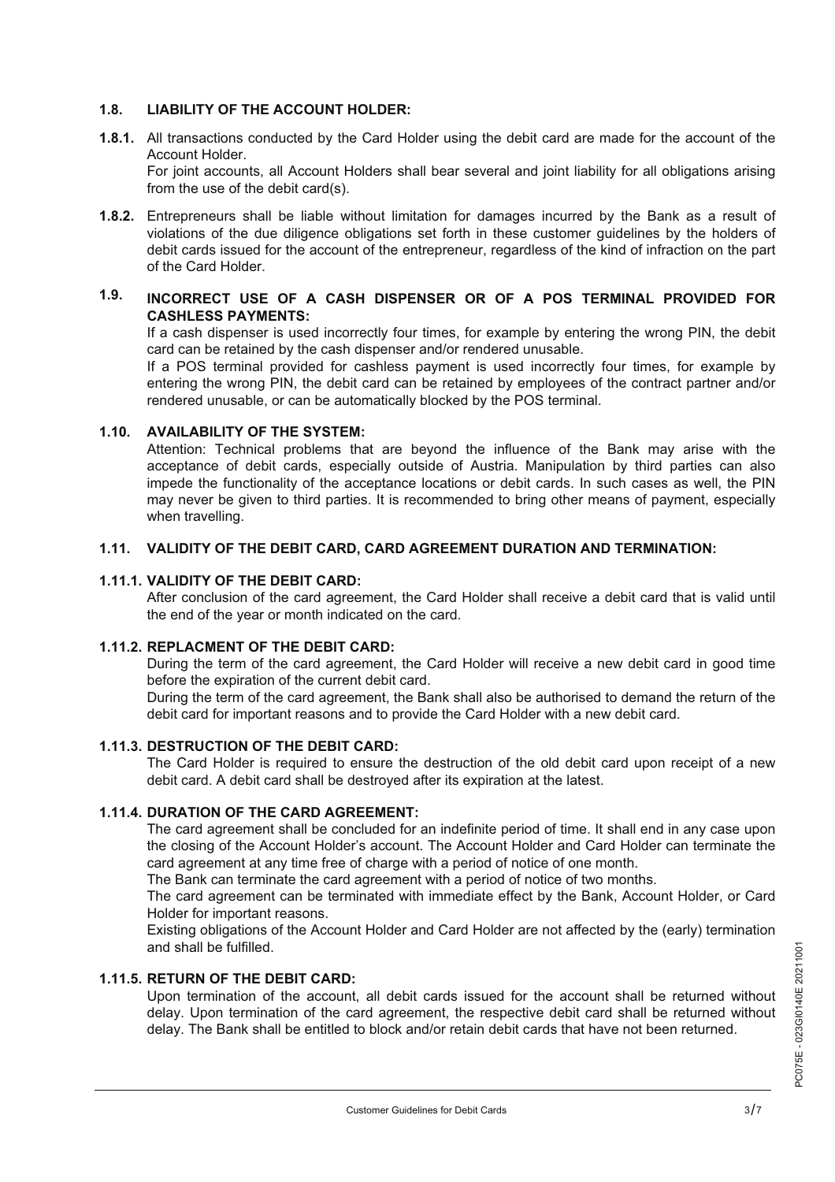# **1.8. LIABILITY OF THE ACCOUNT HOLDER:**

- All transactions conducted by the Card Holder using the debit card are made for the account of the **1.8.1.** Account Holder. For joint accounts, all Account Holders shall bear several and joint liability for all obligations arising from the use of the debit card(s).
- Entrepreneurs shall be liable without limitation for damages incurred by the Bank as a result of **1.8.2.** violations of the due diligence obligations set forth in these customer guidelines by the holders of debit cards issued for the account of the entrepreneur, regardless of the kind of infraction on the part of the Card Holder.

### **INCORRECT USE OF A CASH DISPENSER OR OF A POS TERMINAL PROVIDED FOR CASHLESS PAYMENTS: 1.9.**

If a cash dispenser is used incorrectly four times, for example by entering the wrong PIN, the debit card can be retained by the cash dispenser and/or rendered unusable.

If a POS terminal provided for cashless payment is used incorrectly four times, for example by entering the wrong PIN, the debit card can be retained by employees of the contract partner and/or rendered unusable, or can be automatically blocked by the POS terminal.

# **AVAILABILITY OF THE SYSTEM: 1.10.**

Attention: Technical problems that are beyond the influence of the Bank may arise with the acceptance of debit cards, especially outside of Austria. Manipulation by third parties can also impede the functionality of the acceptance locations or debit cards. In such cases as well, the PIN may never be given to third parties. It is recommended to bring other means of payment, especially when travelling.

# **1.11. VALIDITY OF THE DEBIT CARD, CARD AGREEMENT DURATION AND TERMINATION:**

### **VALIDITY OF THE DEBIT CARD: 1.11.1.**

After conclusion of the card agreement, the Card Holder shall receive a debit card that is valid until the end of the year or month indicated on the card.

### **REPLACMENT OF THE DEBIT CARD: 1.11.2.**

During the term of the card agreement, the Card Holder will receive a new debit card in good time before the expiration of the current debit card.

During the term of the card agreement, the Bank shall also be authorised to demand the return of the debit card for important reasons and to provide the Card Holder with a new debit card.

# **DESTRUCTION OF THE DEBIT CARD: 1.11.3.**

The Card Holder is required to ensure the destruction of the old debit card upon receipt of a new debit card. A debit card shall be destroyed after its expiration at the latest.

### **DURATION OF THE CARD AGREEMENT: 1.11.4.**

The card agreement shall be concluded for an indefinite period of time. It shall end in any case upon the closing of the Account Holder's account. The Account Holder and Card Holder can terminate the card agreement at any time free of charge with a period of notice of one month.

The Bank can terminate the card agreement with a period of notice of two months.

The card agreement can be terminated with immediate effect by the Bank, Account Holder, or Card Holder for important reasons.

Existing obligations of the Account Holder and Card Holder are not affected by the (early) termination and shall be fulfilled.

### **RETURN OF THE DEBIT CARD: 1.11.5.**

Upon termination of the account, all debit cards issued for the account shall be returned without delay. Upon termination of the card agreement, the respective debit card shall be returned without delay. The Bank shall be entitled to block and/or retain debit cards that have not been returned.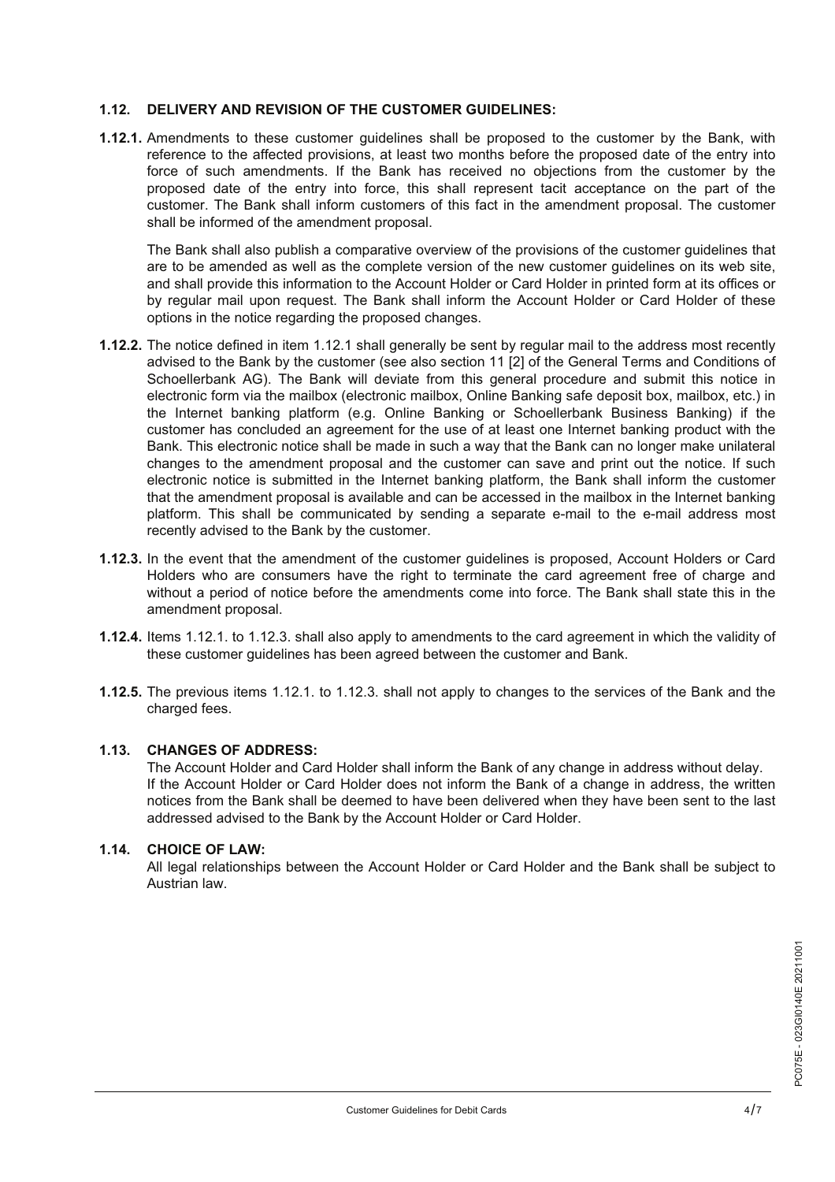# **1.12. DELIVERY AND REVISION OF THE CUSTOMER GUIDELINES:**

**1.12.1.** Amendments to these customer guidelines shall be proposed to the customer by the Bank, with reference to the affected provisions, at least two months before the proposed date of the entry into force of such amendments. If the Bank has received no objections from the customer by the proposed date of the entry into force, this shall represent tacit acceptance on the part of the customer. The Bank shall inform customers of this fact in the amendment proposal. The customer shall be informed of the amendment proposal.

The Bank shall also publish a comparative overview of the provisions of the customer guidelines that are to be amended as well as the complete version of the new customer guidelines on its web site, and shall provide this information to the Account Holder or Card Holder in printed form at its offices or by regular mail upon request. The Bank shall inform the Account Holder or Card Holder of these options in the notice regarding the proposed changes.

- 1.12.2. The notice defined in item 1.12.1 shall generally be sent by regular mail to the address most recently advised to the Bank by the customer (see also section 11 [2] of the General Terms and Conditions of Schoellerbank AG). The Bank will deviate from this general procedure and submit this notice in electronic form via the mailbox (electronic mailbox, Online Banking safe deposit box, mailbox, etc.) in the Internet banking platform (e.g. Online Banking or Schoellerbank Business Banking) if the customer has concluded an agreement for the use of at least one Internet banking product with the Bank. This electronic notice shall be made in such a way that the Bank can no longer make unilateral changes to the amendment proposal and the customer can save and print out the notice. If such electronic notice is submitted in the Internet banking platform, the Bank shall inform the customer that the amendment proposal is available and can be accessed in the mailbox in the Internet banking platform. This shall be communicated by sending a separate e-mail to the e-mail address most recently advised to the Bank by the customer.
- **1.12.3.** In the event that the amendment of the customer guidelines is proposed, Account Holders or Card Holders who are consumers have the right to terminate the card agreement free of charge and without a period of notice before the amendments come into force. The Bank shall state this in the amendment proposal.
- 1.12.4. Items 1.12.1. to 1.12.3. shall also apply to amendments to the card agreement in which the validity of these customer guidelines has been agreed between the customer and Bank.
- 1.12.5. The previous items 1.12.1. to 1.12.3. shall not apply to changes to the services of the Bank and the charged fees.

# **CHANGES OF ADDRESS: 1.13.**

The Account Holder and Card Holder shall inform the Bank of any change in address without delay. If the Account Holder or Card Holder does not inform the Bank of a change in address, the written notices from the Bank shall be deemed to have been delivered when they have been sent to the last addressed advised to the Bank by the Account Holder or Card Holder.

# **CHOICE OF LAW: 1.14.**

All legal relationships between the Account Holder or Card Holder and the Bank shall be subject to Austrian law.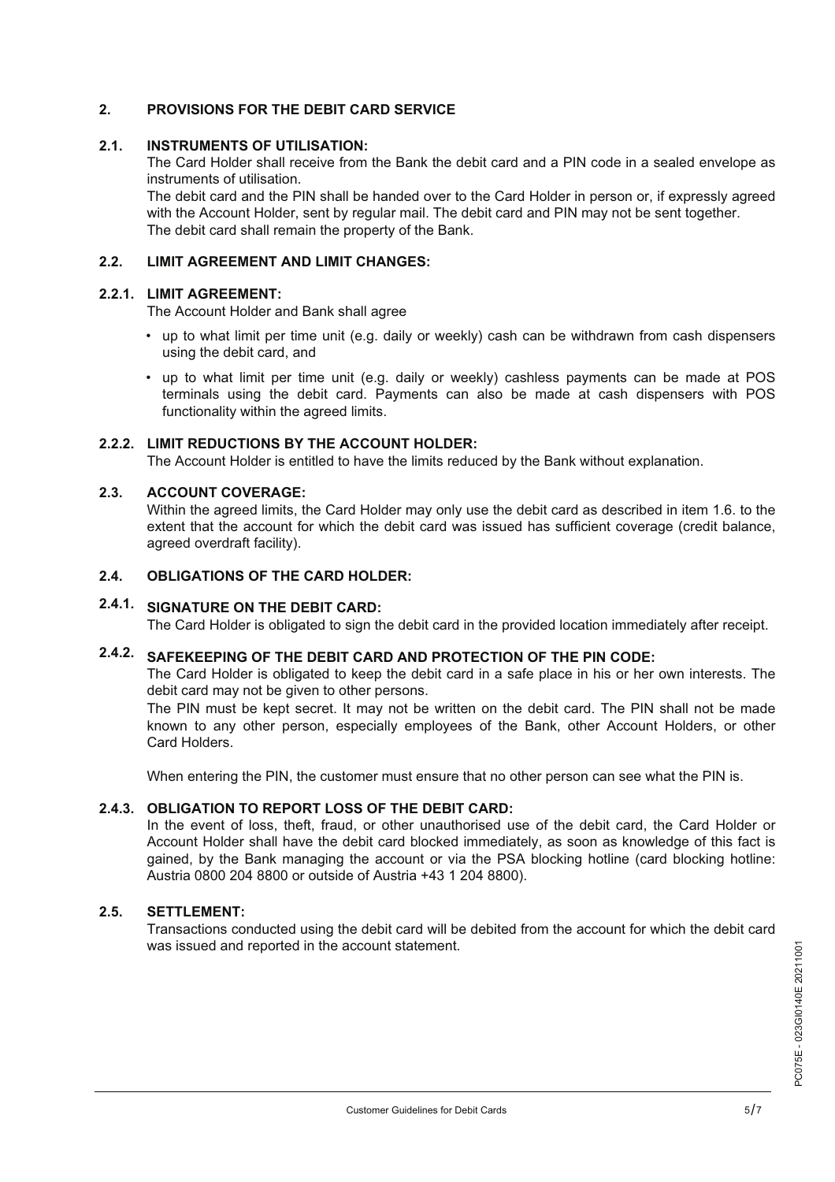# **2. PROVISIONS FOR THE DEBIT CARD SERVICE**

#### **INSTRUMENTS OF UTILISATION: 2.1.**

The Card Holder shall receive from the Bank the debit card and a PIN code in a sealed envelope as instruments of utilisation.

The debit card and the PIN shall be handed over to the Card Holder in person or, if expressly agreed with the Account Holder, sent by regular mail. The debit card and PIN may not be sent together. The debit card shall remain the property of the Bank.

# **2.2. LIMIT AGREEMENT AND LIMIT CHANGES:**

# **LIMIT AGREEMENT: 2.2.1.**

The Account Holder and Bank shall agree

- up to what limit per time unit (e.g. daily or weekly) cash can be withdrawn from cash dispensers • using the debit card, and
- up to what limit per time unit (e.g. daily or weekly) cashless payments can be made at POS terminals using the debit card. Payments can also be made at cash dispensers with POS functionality within the agreed limits.

# **LIMIT REDUCTIONS BY THE ACCOUNT HOLDER: 2.2.2.**

The Account Holder is entitled to have the limits reduced by the Bank without explanation.

#### **ACCOUNT COVERAGE: 2.3.**

Within the agreed limits, the Card Holder may only use the debit card as described in item 1.6. to the extent that the account for which the debit card was issued has sufficient coverage (credit balance, agreed overdraft facility).

# **2.4. OBLIGATIONS OF THE CARD HOLDER:**

# **SIGNATURE ON THE DEBIT CARD: 2.4.1.**

The Card Holder is obligated to sign the debit card in the provided location immediately after receipt.

# **SAFEKEEPING OF THE DEBIT CARD AND PROTECTION OF THE PIN CODE: 2.4.2.**

The Card Holder is obligated to keep the debit card in a safe place in his or her own interests. The debit card may not be given to other persons.

The PIN must be kept secret. It may not be written on the debit card. The PIN shall not be made known to any other person, especially employees of the Bank, other Account Holders, or other Card Holders.

When entering the PIN, the customer must ensure that no other person can see what the PIN is.

### **OBLIGATION TO REPORT LOSS OF THE DEBIT CARD: 2.4.3.**

In the event of loss, theft, fraud, or other unauthorised use of the debit card, the Card Holder or Account Holder shall have the debit card blocked immediately, as soon as knowledge of this fact is gained, by the Bank managing the account or via the PSA blocking hotline (card blocking hotline: Austria 0800 204 8800 or outside of Austria +43 1 204 8800).

### **SETTLEMENT: 2.5.**

Transactions conducted using the debit card will be debited from the account for which the debit card was issued and reported in the account statement.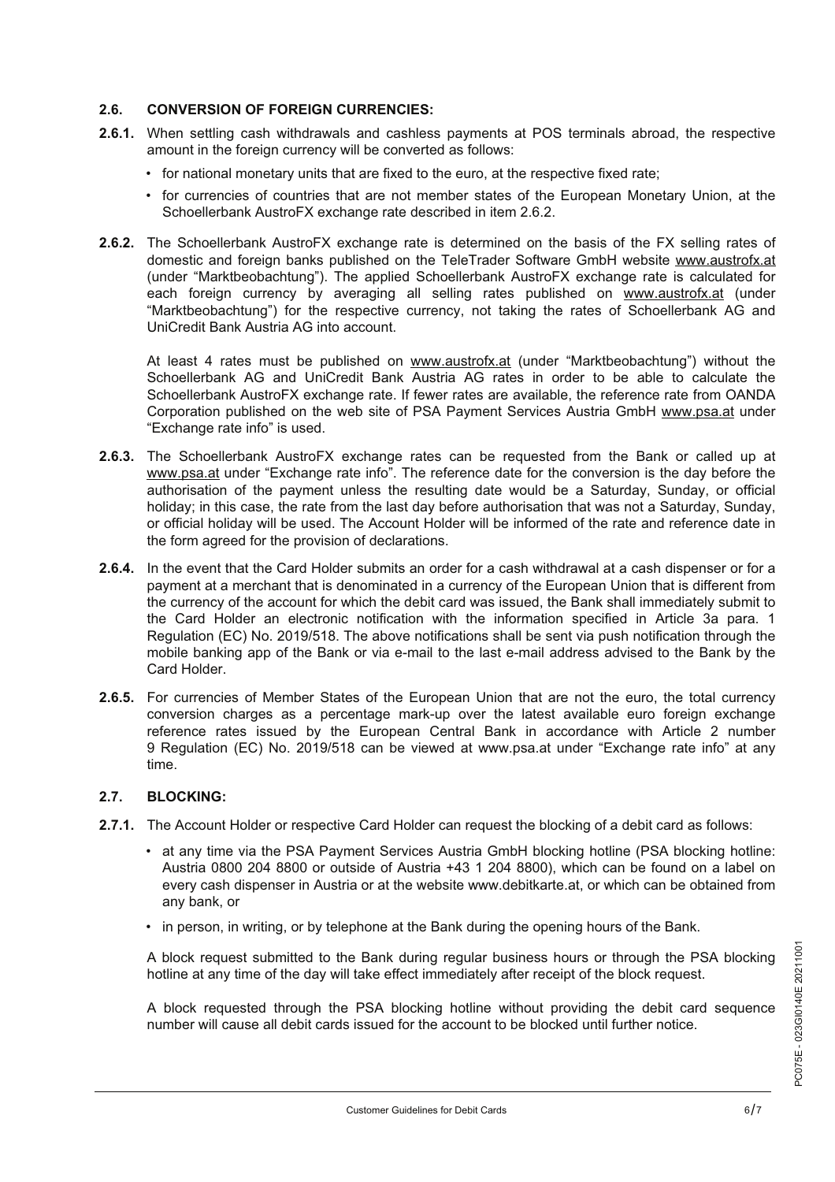# **2.6. CONVERSION OF FOREIGN CURRENCIES:**

- When settling cash withdrawals and cashless payments at POS terminals abroad, the respective **2.6.1.** amount in the foreign currency will be converted as follows:
	- for national monetary units that are fixed to the euro, at the respective fixed rate;
- for currencies of countries that are not member states of the European Monetary Union, at the Schoellerbank AustroFX exchange rate described in item 2.6.2.
- 2.6.2. The Schoellerbank AustroFX exchange rate is determined on the basis of the FX selling rates of domestic and foreign banks published on the TeleTrader Software GmbH website www.austrofx.at (under "Marktbeobachtung"). The applied Schoellerbank AustroFX exchange rate is calculated for each foreign currency by averaging all selling rates published on www.austrofx.at (under "Marktbeobachtung") for the respective currency, not taking the rates of Schoellerbank AG and UniCredit Bank Austria AG into account.

At least 4 rates must be published on www.austrofx.at (under "Marktbeobachtung") without the Schoellerbank AG and UniCredit Bank Austria AG rates in order to be able to calculate the Schoellerbank AustroFX exchange rate. If fewer rates are available, the reference rate from OANDA Corporation published on the web site of PSA Payment Services Austria GmbH www.psa.at under "Exchange rate info" is used.

- 2.6.3. The Schoellerbank AustroFX exchange rates can be requested from the Bank or called up at www.psa.at under "Exchange rate info". The reference date for the conversion is the day before the authorisation of the payment unless the resulting date would be a Saturday, Sunday, or official holiday; in this case, the rate from the last day before authorisation that was not a Saturday, Sunday, or official holiday will be used. The Account Holder will be informed of the rate and reference date in the form agreed for the provision of declarations.
- 2.6.4. In the event that the Card Holder submits an order for a cash withdrawal at a cash dispenser or for a payment at a merchant that is denominated in a currency of the European Union that is different from the currency of the account for which the debit card was issued, the Bank shall immediately submit to the Card Holder an electronic notification with the information specified in Article 3a para. 1 Regulation (EC) No. 2019/518. The above notifications shall be sent via push notification through the mobile banking app of the Bank or via e-mail to the last e-mail address advised to the Bank by the Card Holder.
- 2.6.5. For currencies of Member States of the European Union that are not the euro, the total currency conversion charges as a percentage mark-up over the latest available euro foreign exchange reference rates issued by the European Central Bank in accordance with Article 2 number 9 Regulation (EC) No. 2019/518 can be viewed at www.psa.at under "Exchange rate info" at any time.

# **2.7. BLOCKING:**

- **2.7.1.** The Account Holder or respective Card Holder can request the blocking of a debit card as follows:
- at any time via the PSA Payment Services Austria GmbH blocking hotline (PSA blocking hotline: Austria 0800 204 8800 or outside of Austria +43 1 204 8800), which can be found on a label on every cash dispenser in Austria or at the website www.debitkarte.at, or which can be obtained from any bank, or
	- in person, in writing, or by telephone at the Bank during the opening hours of the Bank.

A block request submitted to the Bank during regular business hours or through the PSA blocking hotline at any time of the day will take effect immediately after receipt of the block request.

A block requested through the PSA blocking hotline without providing the debit card sequence number will cause all debit cards issued for the account to be blocked until further notice.